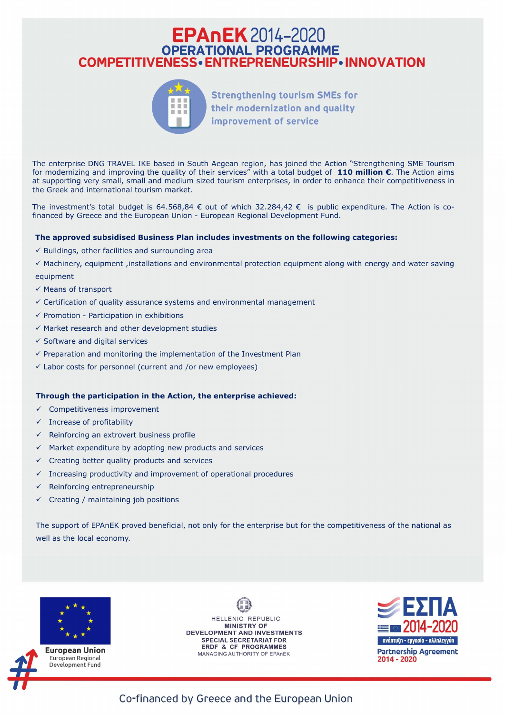# **COMPETITIVENESS - ENTREPRENEURSHIP - INNOVATION**<br>
Strengthening tourism SMEs for<br>
their modernization and quality<br>
improvement of service<br>
The enterprise DNG TRAVEL IKE based in South Aegean region, has joined the Action **EPANEK** 2014–2020<br> **COMPETITIVENESS • ENTREPRENEURSHIP • INNOVATION<br>
Strengthening tourism SMEs for<br>
their modernization and quality<br>
The enterprise DNG TRAVEL IKE based in South Aegean region, has joined the Action "Str EPANEK** 2014–2020<br> **COMPETITIVENESS • ENTREPRENEURSHIP • INNOVATION<br>
Strengthening tourism SMEs for<br>
their modernization and quality<br>
Interesting SME Tourism<br>
The enterprise DNG TRAVEL IKE based in South Aegean region, h COMPETITIVENESS. CONTREPRENEURSHIP. INNOVATION**<br> **COMPETITIVENESS. CONTREPRENEURSHIP. INNOVATION**<br>
Strengthening tourism SMEs for<br>
their modernization and quality<br>
improvement of service<br>
The enterprise DNG TRAVEL IKE **COMPETITIVENESS • ENTREPRENEURSHIP • INNOVATION<br>
COMPETITIVENESS • ENTREPRENEURSHIP • INNOVATION<br>
Strengthening tourism SMEs for<br>
their modernization and quality<br>
The enterprise DNG TRAVEL IKE based in South Aegean regio EPANEK 2014-2020**<br> **COMPETITIVENESS • ENTREPRENEURSHIP • INNOVATION**<br>
Strengthening tourism SMEs for<br>
their modernization and quality<br>
improvement of service<br>
The enterprise DNG TRAVEL IKE based in South Aegean region, h **COMPETITIVENESS - ENTREPRENEURSHIP • INNOVATION**<br> **COMPETITIVENESS - ENTREPRENEURSHIP • INNOVATION**<br>
Strengthening tourism SMEs for<br>
their modernization and quality<br>
improvement of service<br>
one methoric BUS TRAVE IKE base



Strengthening tourism SMEs for<br>their modernization and quality<br>improvement of service<br>tor modernization and quality<br>improvement of services" with a total budget of 110 min<br>to remotenting and improving the quality of their

 $\checkmark$  Buildings, other facilities and surrounding area

 $\checkmark$  Machinery, equipment ,installations and environmental protection equipment along with energy and water saving equipment

- $\checkmark$  Means of transport
- $\checkmark$  Certification of quality assurance systems and environmental management
- 
- $\checkmark$  Market research and other development studies
- $\checkmark$  Software and digital services
- $\checkmark$  Preparation and monitoring the implementation of the Investment Plan
- $\checkmark$  Labor costs for personnel (current and /or new employees)

#### Through the participation in the Action, the enterprise achieved:

- $\checkmark$  Competitiveness improvement
- $\checkmark$  Increase of profitability
- $\checkmark$  Reinforcing an extrovert business profile
- $\checkmark$  Market expenditure by adopting new products and services
- $\checkmark$  Creating better quality products and services
- $\checkmark$  Increasing productivity and improvement of operational procedures
- $\checkmark$  Reinforcing entrepreneurship
- $\checkmark$  Creating / maintaining job positions

 $V$  Framotion of quality assurance systems and environmental management<br>  $V$  Promotion - Participation in exhibitions<br>  $V$  Market research and other development studies<br>  $V$  Software and digital services<br>  $V$  Expapation a well as the local economy.





**European Union** European Regional Development Fund

HELLENIC REPUBLIC **MINISTRY OF DEVELOPMENT AND INVESTMENTS SPECIAL SECRETARIAT FOR ERDF & CF PROGRAMMES** MANAGING AUTHORITY OF EPANEK



### Co-financed by Greece and the European Union